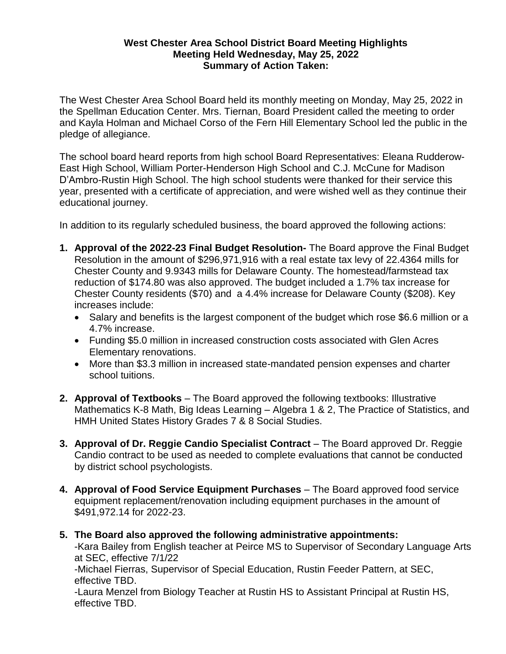## **West Chester Area School District Board Meeting Highlights Meeting Held Wednesday, May 25, 2022 Summary of Action Taken:**

The West Chester Area School Board held its monthly meeting on Monday, May 25, 2022 in the Spellman Education Center. Mrs. Tiernan, Board President called the meeting to order and Kayla Holman and Michael Corso of the Fern Hill Elementary School led the public in the pledge of allegiance.

The school board heard reports from high school Board Representatives: Eleana Rudderow-East High School, William Porter-Henderson High School and C.J. McCune for Madison D'Ambro-Rustin High School. The high school students were thanked for their service this year, presented with a certificate of appreciation, and were wished well as they continue their educational journey.

In addition to its regularly scheduled business, the board approved the following actions:

- **1. Approval of the 2022-23 Final Budget Resolution-** The Board approve the Final Budget Resolution in the amount of \$296,971,916 with a real estate tax levy of 22.4364 mills for Chester County and 9.9343 mills for Delaware County. The homestead/farmstead tax reduction of \$174.80 was also approved. The budget included a 1.7% tax increase for Chester County residents (\$70) and a 4.4% increase for Delaware County (\$208). Key increases include:
	- Salary and benefits is the largest component of the budget which rose \$6.6 million or a 4.7% increase.
	- Funding \$5.0 million in increased construction costs associated with Glen Acres Elementary renovations.
	- More than \$3.3 million in increased state-mandated pension expenses and charter school tuitions.
- **2. Approval of Textbooks** The Board approved the following textbooks: Illustrative Mathematics K-8 Math, Big Ideas Learning – Algebra 1 & 2, The Practice of Statistics, and HMH United States History Grades 7 & 8 Social Studies.
- **3. Approval of Dr. Reggie Candio Specialist Contract** The Board approved Dr. Reggie Candio contract to be used as needed to complete evaluations that cannot be conducted by district school psychologists.
- **4. Approval of Food Service Equipment Purchases**  The Board approved food service equipment replacement/renovation including equipment purchases in the amount of \$491,972.14 for 2022-23.
- **5. The Board also approved the following administrative appointments:**

-Kara Bailey from English teacher at Peirce MS to Supervisor of Secondary Language Arts at SEC, effective 7/1/22

-Michael Fierras, Supervisor of Special Education, Rustin Feeder Pattern, at SEC, effective TBD.

-Laura Menzel from Biology Teacher at Rustin HS to Assistant Principal at Rustin HS, effective TBD.